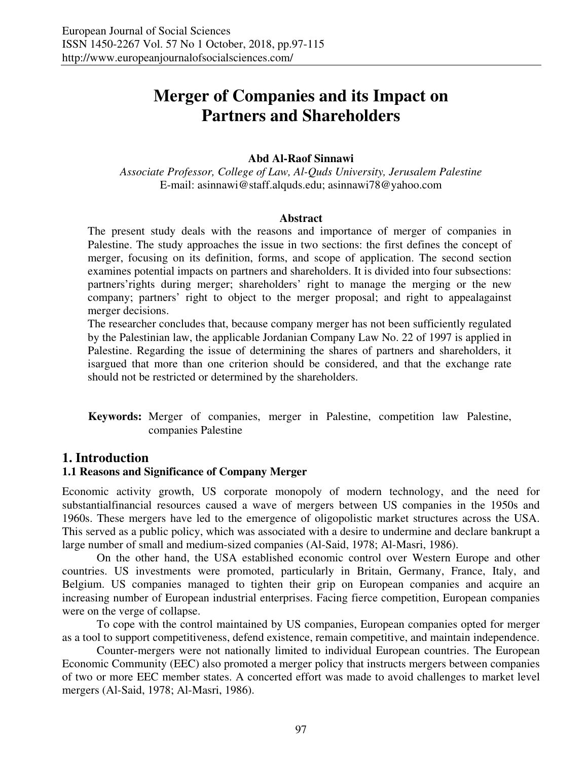# **Merger of Companies and its Impact on Partners and Shareholders**

#### **Abd Al-Raof Sinnawi**

*Associate Professor, College of Law, Al-Quds University, Jerusalem Palestine*  E-mail: asinnawi@staff.alquds.edu; asinnawi78@yahoo.com

#### **Abstract**

The present study deals with the reasons and importance of merger of companies in Palestine. The study approaches the issue in two sections: the first defines the concept of merger, focusing on its definition, forms, and scope of application. The second section examines potential impacts on partners and shareholders. It is divided into four subsections: partners'rights during merger; shareholders' right to manage the merging or the new company; partners' right to object to the merger proposal; and right to appealagainst merger decisions.

The researcher concludes that, because company merger has not been sufficiently regulated by the Palestinian law, the applicable Jordanian Company Law No. 22 of 1997 is applied in Palestine. Regarding the issue of determining the shares of partners and shareholders, it isargued that more than one criterion should be considered, and that the exchange rate should not be restricted or determined by the shareholders.

**Keywords:** Merger of companies, merger in Palestine, competition law Palestine, companies Palestine

#### **1. Introduction**

#### **1.1 Reasons and Significance of Company Merger**

Economic activity growth, US corporate monopoly of modern technology, and the need for substantialfinancial resources caused a wave of mergers between US companies in the 1950s and 1960s. These mergers have led to the emergence of oligopolistic market structures across the USA. This served as a public policy, which was associated with a desire to undermine and declare bankrupt a large number of small and medium-sized companies (Al-Said, 1978; Al-Masri, 1986).

On the other hand, the USA established economic control over Western Europe and other countries. US investments were promoted, particularly in Britain, Germany, France, Italy, and Belgium. US companies managed to tighten their grip on European companies and acquire an increasing number of European industrial enterprises. Facing fierce competition, European companies were on the verge of collapse.

To cope with the control maintained by US companies, European companies opted for merger as a tool to support competitiveness, defend existence, remain competitive, and maintain independence.

Counter-mergers were not nationally limited to individual European countries. The European Economic Community (EEC) also promoted a merger policy that instructs mergers between companies of two or more EEC member states. A concerted effort was made to avoid challenges to market level mergers (Al-Said, 1978; Al-Masri, 1986).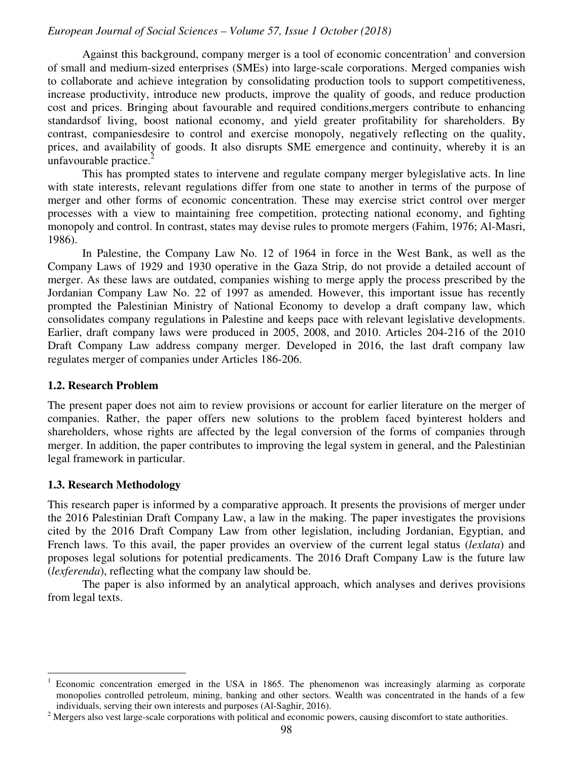Against this background, company merger is a tool of economic concentration<sup>1</sup> and conversion of small and medium-sized enterprises (SMEs) into large-scale corporations. Merged companies wish to collaborate and achieve integration by consolidating production tools to support competitiveness, increase productivity, introduce new products, improve the quality of goods, and reduce production cost and prices. Bringing about favourable and required conditions,mergers contribute to enhancing standardsof living, boost national economy, and yield greater profitability for shareholders. By contrast, companiesdesire to control and exercise monopoly, negatively reflecting on the quality, prices, and availability of goods. It also disrupts SME emergence and continuity, whereby it is an unfavourable practice. $<sup>2</sup>$ </sup>

This has prompted states to intervene and regulate company merger bylegislative acts. In line with state interests, relevant regulations differ from one state to another in terms of the purpose of merger and other forms of economic concentration. These may exercise strict control over merger processes with a view to maintaining free competition, protecting national economy, and fighting monopoly and control. In contrast, states may devise rules to promote mergers (Fahim, 1976; Al-Masri, 1986).

In Palestine, the Company Law No. 12 of 1964 in force in the West Bank, as well as the Company Laws of 1929 and 1930 operative in the Gaza Strip, do not provide a detailed account of merger. As these laws are outdated, companies wishing to merge apply the process prescribed by the Jordanian Company Law No. 22 of 1997 as amended. However, this important issue has recently prompted the Palestinian Ministry of National Economy to develop a draft company law, which consolidates company regulations in Palestine and keeps pace with relevant legislative developments. Earlier, draft company laws were produced in 2005, 2008, and 2010. Articles 204-216 of the 2010 Draft Company Law address company merger. Developed in 2016, the last draft company law regulates merger of companies under Articles 186-206.

#### **1.2. Research Problem**

The present paper does not aim to review provisions or account for earlier literature on the merger of companies. Rather, the paper offers new solutions to the problem faced byinterest holders and shareholders, whose rights are affected by the legal conversion of the forms of companies through merger. In addition, the paper contributes to improving the legal system in general, and the Palestinian legal framework in particular.

#### **1.3. Research Methodology**

 $\overline{a}$ 

This research paper is informed by a comparative approach. It presents the provisions of merger under the 2016 Palestinian Draft Company Law, a law in the making. The paper investigates the provisions cited by the 2016 Draft Company Law from other legislation, including Jordanian, Egyptian, and French laws. To this avail, the paper provides an overview of the current legal status (*lexlata*) and proposes legal solutions for potential predicaments. The 2016 Draft Company Law is the future law (*lexferenda*), reflecting what the company law should be.

The paper is also informed by an analytical approach, which analyses and derives provisions from legal texts.

<sup>1</sup> Economic concentration emerged in the USA in 1865. The phenomenon was increasingly alarming as corporate monopolies controlled petroleum, mining, banking and other sectors. Wealth was concentrated in the hands of a few individuals, serving their own interests and purposes (Al-Saghir, 2016).

 $2^2$  Mergers also vest large-scale corporations with political and economic powers, causing discomfort to state authorities.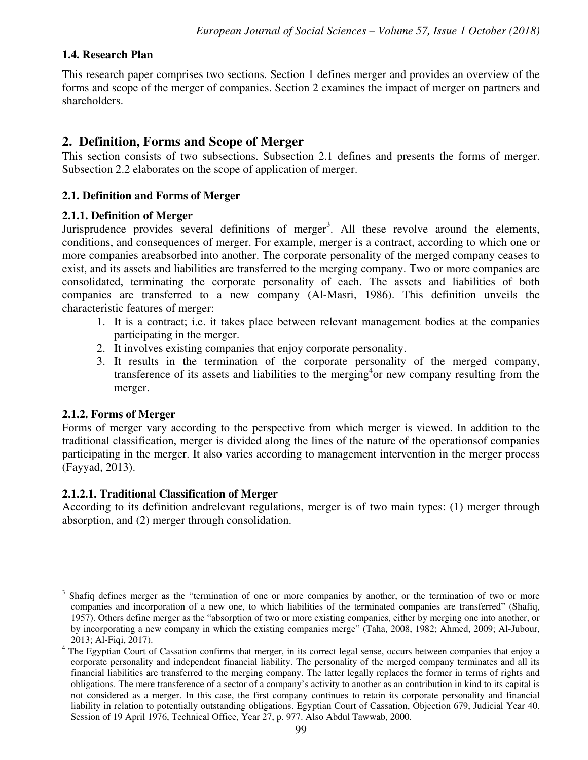## **1.4. Research Plan**

This research paper comprises two sections. Section 1 defines merger and provides an overview of the forms and scope of the merger of companies. Section 2 examines the impact of merger on partners and shareholders.

# **2. Definition, Forms and Scope of Merger**

This section consists of two subsections. Subsection 2.1 defines and presents the forms of merger. Subsection 2.2 elaborates on the scope of application of merger.

### **2.1. Definition and Forms of Merger**

#### **2.1.1. Definition of Merger**

Jurisprudence provides several definitions of merger<sup>3</sup>. All these revolve around the elements, conditions, and consequences of merger. For example, merger is a contract, according to which one or more companies areabsorbed into another. The corporate personality of the merged company ceases to exist, and its assets and liabilities are transferred to the merging company. Two or more companies are consolidated, terminating the corporate personality of each. The assets and liabilities of both companies are transferred to a new company (Al-Masri, 1986). This definition unveils the characteristic features of merger:

- 1. It is a contract; i.e. it takes place between relevant management bodies at the companies participating in the merger.
- 2. It involves existing companies that enjoy corporate personality.
- 3. It results in the termination of the corporate personality of the merged company, transference of its assets and liabilities to the merging<sup>4</sup> or new company resulting from the merger.

#### **2.1.2. Forms of Merger**

Forms of merger vary according to the perspective from which merger is viewed. In addition to the traditional classification, merger is divided along the lines of the nature of the operationsof companies participating in the merger. It also varies according to management intervention in the merger process (Fayyad, 2013).

#### **2.1.2.1. Traditional Classification of Merger**

According to its definition andrelevant regulations, merger is of two main types: (1) merger through absorption, and (2) merger through consolidation.

<sup>-</sup>3 Shafiq defines merger as the "termination of one or more companies by another, or the termination of two or more companies and incorporation of a new one, to which liabilities of the terminated companies are transferred" (Shafiq, 1957). Others define merger as the "absorption of two or more existing companies, either by merging one into another, or by incorporating a new company in which the existing companies merge" (Taha, 2008, 1982; Ahmed, 2009; Al-Jubour, 2013; Al-Fiqi, 2017).

<sup>4</sup> The Egyptian Court of Cassation confirms that merger, in its correct legal sense, occurs between companies that enjoy a corporate personality and independent financial liability. The personality of the merged company terminates and all its financial liabilities are transferred to the merging company. The latter legally replaces the former in terms of rights and obligations. The mere transference of a sector of a company's activity to another as an contribution in kind to its capital is not considered as a merger. In this case, the first company continues to retain its corporate personality and financial liability in relation to potentially outstanding obligations. Egyptian Court of Cassation, Objection 679, Judicial Year 40. Session of 19 April 1976, Technical Office, Year 27, p. 977. Also Abdul Tawwab, 2000.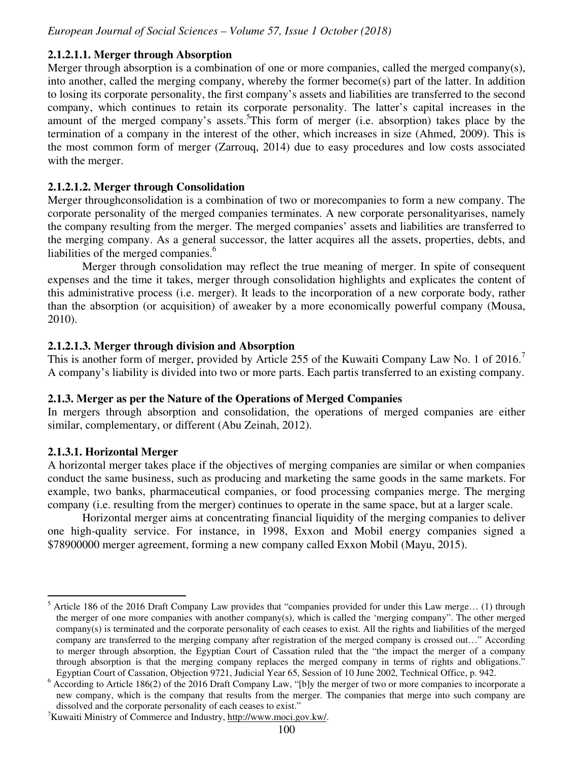## **2.1.2.1.1. Merger through Absorption**

Merger through absorption is a combination of one or more companies, called the merged company(s), into another, called the merging company, whereby the former become(s) part of the latter. In addition to losing its corporate personality, the first company's assets and liabilities are transferred to the second company, which continues to retain its corporate personality. The latter's capital increases in the amount of the merged company's assets.<sup>5</sup>This form of merger (i.e. absorption) takes place by the termination of a company in the interest of the other, which increases in size (Ahmed, 2009). This is the most common form of merger (Zarrouq, 2014) due to easy procedures and low costs associated with the merger.

### **2.1.2.1.2. Merger through Consolidation**

Merger throughconsolidation is a combination of two or morecompanies to form a new company. The corporate personality of the merged companies terminates. A new corporate personalityarises, namely the company resulting from the merger. The merged companies' assets and liabilities are transferred to the merging company. As a general successor, the latter acquires all the assets, properties, debts, and liabilities of the merged companies.<sup>6</sup>

Merger through consolidation may reflect the true meaning of merger. In spite of consequent expenses and the time it takes, merger through consolidation highlights and explicates the content of this administrative process (i.e. merger). It leads to the incorporation of a new corporate body, rather than the absorption (or acquisition) of aweaker by a more economically powerful company (Mousa, 2010).

### **2.1.2.1.3. Merger through division and Absorption**

This is another form of merger, provided by Article 255 of the Kuwaiti Company Law No. 1 of 2016.<sup>7</sup> A company's liability is divided into two or more parts. Each partis transferred to an existing company.

# **2.1.3. Merger as per the Nature of the Operations of Merged Companies**

In mergers through absorption and consolidation, the operations of merged companies are either similar, complementary, or different (Abu Zeinah, 2012).

# **2.1.3.1. Horizontal Merger**

 $\overline{a}$ 

A horizontal merger takes place if the objectives of merging companies are similar or when companies conduct the same business, such as producing and marketing the same goods in the same markets. For example, two banks, pharmaceutical companies, or food processing companies merge. The merging company (i.e. resulting from the merger) continues to operate in the same space, but at a larger scale.

Horizontal merger aims at concentrating financial liquidity of the merging companies to deliver one high-quality service. For instance, in 1998, Exxon and Mobil energy companies signed a \$78900000 merger agreement, forming a new company called Exxon Mobil (Mayu, 2015).

<sup>5</sup> Article 186 of the 2016 Draft Company Law provides that "companies provided for under this Law merge… (1) through the merger of one more companies with another company(s), which is called the 'merging company". The other merged company(s) is terminated and the corporate personality of each ceases to exist. All the rights and liabilities of the merged company are transferred to the merging company after registration of the merged company is crossed out…" According to merger through absorption, the Egyptian Court of Cassation ruled that the "the impact the merger of a company through absorption is that the merging company replaces the merged company in terms of rights and obligations." Egyptian Court of Cassation, Objection 9721, Judicial Year 65, Session of 10 June 2002, Technical Office, p. 942.

<sup>&</sup>lt;sup>6</sup> According to Article 186(2) of the 2016 Draft Company Law, "[b]y the merger of two or more companies to incorporate a new company, which is the company that results from the merger. The companies that merge into such company are dissolved and the corporate personality of each ceases to exist."

<sup>&</sup>lt;sup>7</sup>Kuwaiti Ministry of Commerce and Industry, http://www.moci.gov.kw/.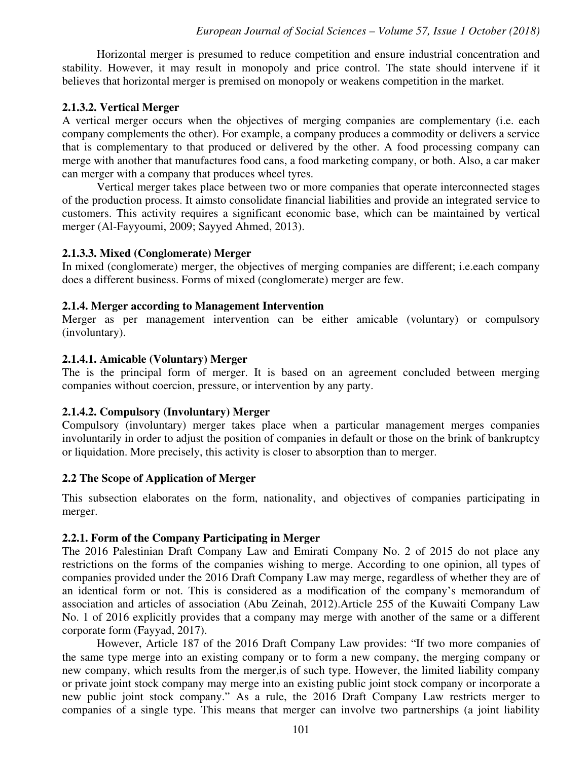Horizontal merger is presumed to reduce competition and ensure industrial concentration and stability. However, it may result in monopoly and price control. The state should intervene if it believes that horizontal merger is premised on monopoly or weakens competition in the market.

### **2.1.3.2. Vertical Merger**

A vertical merger occurs when the objectives of merging companies are complementary (i.e. each company complements the other). For example, a company produces a commodity or delivers a service that is complementary to that produced or delivered by the other. A food processing company can merge with another that manufactures food cans, a food marketing company, or both. Also, a car maker can merger with a company that produces wheel tyres.

Vertical merger takes place between two or more companies that operate interconnected stages of the production process. It aimsto consolidate financial liabilities and provide an integrated service to customers. This activity requires a significant economic base, which can be maintained by vertical merger (Al-Fayyoumi, 2009; Sayyed Ahmed, 2013).

#### **2.1.3.3. Mixed (Conglomerate) Merger**

In mixed (conglomerate) merger, the objectives of merging companies are different; i.e.each company does a different business. Forms of mixed (conglomerate) merger are few.

### **2.1.4. Merger according to Management Intervention**

Merger as per management intervention can be either amicable (voluntary) or compulsory (involuntary).

### **2.1.4.1. Amicable (Voluntary) Merger**

The is the principal form of merger. It is based on an agreement concluded between merging companies without coercion, pressure, or intervention by any party.

# **2.1.4.2. Compulsory (Involuntary) Merger**

Compulsory (involuntary) merger takes place when a particular management merges companies involuntarily in order to adjust the position of companies in default or those on the brink of bankruptcy or liquidation. More precisely, this activity is closer to absorption than to merger.

#### **2.2 The Scope of Application of Merger**

This subsection elaborates on the form, nationality, and objectives of companies participating in merger.

#### **2.2.1. Form of the Company Participating in Merger**

The 2016 Palestinian Draft Company Law and Emirati Company No. 2 of 2015 do not place any restrictions on the forms of the companies wishing to merge. According to one opinion, all types of companies provided under the 2016 Draft Company Law may merge, regardless of whether they are of an identical form or not. This is considered as a modification of the company's memorandum of association and articles of association (Abu Zeinah, 2012).Article 255 of the Kuwaiti Company Law No. 1 of 2016 explicitly provides that a company may merge with another of the same or a different corporate form (Fayyad, 2017).

However, Article 187 of the 2016 Draft Company Law provides: "If two more companies of the same type merge into an existing company or to form a new company, the merging company or new company, which results from the merger,is of such type. However, the limited liability company or private joint stock company may merge into an existing public joint stock company or incorporate a new public joint stock company." As a rule, the 2016 Draft Company Law restricts merger to companies of a single type. This means that merger can involve two partnerships (a joint liability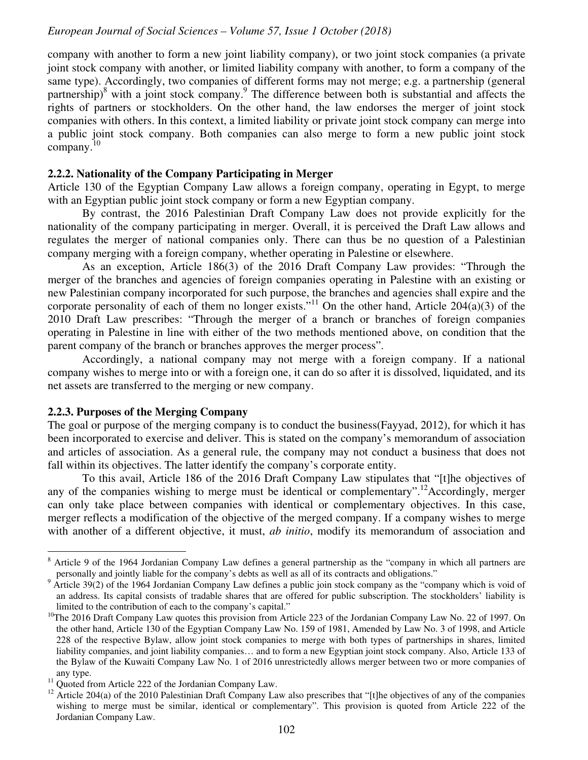company with another to form a new joint liability company), or two joint stock companies (a private joint stock company with another, or limited liability company with another, to form a company of the same type). Accordingly, two companies of different forms may not merge; e.g. a partnership (general partnership)<sup>8</sup> with a joint stock company.<sup>9</sup> The difference between both is substantial and affects the rights of partners or stockholders. On the other hand, the law endorses the merger of joint stock companies with others. In this context, a limited liability or private joint stock company can merge into a public joint stock company. Both companies can also merge to form a new public joint stock company.<sup>10</sup>

#### **2.2.2. Nationality of the Company Participating in Merger**

Article 130 of the Egyptian Company Law allows a foreign company, operating in Egypt, to merge with an Egyptian public joint stock company or form a new Egyptian company.

By contrast, the 2016 Palestinian Draft Company Law does not provide explicitly for the nationality of the company participating in merger. Overall, it is perceived the Draft Law allows and regulates the merger of national companies only. There can thus be no question of a Palestinian company merging with a foreign company, whether operating in Palestine or elsewhere.

As an exception, Article 186(3) of the 2016 Draft Company Law provides: "Through the merger of the branches and agencies of foreign companies operating in Palestine with an existing or new Palestinian company incorporated for such purpose, the branches and agencies shall expire and the corporate personality of each of them no longer exists."<sup>11</sup> On the other hand, Article 204(a)(3) of the 2010 Draft Law prescribes: "Through the merger of a branch or branches of foreign companies operating in Palestine in line with either of the two methods mentioned above, on condition that the parent company of the branch or branches approves the merger process".

Accordingly, a national company may not merge with a foreign company. If a national company wishes to merge into or with a foreign one, it can do so after it is dissolved, liquidated, and its net assets are transferred to the merging or new company.

#### **2.2.3. Purposes of the Merging Company**

The goal or purpose of the merging company is to conduct the business(Fayyad, 2012), for which it has been incorporated to exercise and deliver. This is stated on the company's memorandum of association and articles of association. As a general rule, the company may not conduct a business that does not fall within its objectives. The latter identify the company's corporate entity.

To this avail, Article 186 of the 2016 Draft Company Law stipulates that "[t]he objectives of any of the companies wishing to merge must be identical or complementary".<sup>12</sup>Accordingly, merger can only take place between companies with identical or complementary objectives. In this case, merger reflects a modification of the objective of the merged company. If a company wishes to merge with another of a different objective, it must, *ab initio*, modify its memorandum of association and

<sup>&</sup>lt;sup>8</sup> Article 9 of the 1964 Jordanian Company Law defines a general partnership as the "company in which all partners are personally and jointly liable for the company's debts as well as all of its contracts and obligations."

<sup>&</sup>lt;sup>9</sup> Article 39(2) of the 1964 Jordanian Company Law defines a public join stock company as the "company which is void of an address. Its capital consists of tradable shares that are offered for public subscription. The stockholders' liability is limited to the contribution of each to the company's capital."

<sup>&</sup>lt;sup>10</sup>The 2016 Draft Company Law quotes this provision from Article 223 of the Jordanian Company Law No. 22 of 1997. On the other hand, Article 130 of the Egyptian Company Law No. 159 of 1981, Amended by Law No. 3 of 1998, and Article 228 of the respective Bylaw, allow joint stock companies to merge with both types of partnerships in shares, limited liability companies, and joint liability companies… and to form a new Egyptian joint stock company. Also, Article 133 of the Bylaw of the Kuwaiti Company Law No. 1 of 2016 unrestrictedly allows merger between two or more companies of any type.

<sup>&</sup>lt;sup>11</sup> Ouoted from Article 222 of the Jordanian Company Law.

 $12$  Article 204(a) of the 2010 Palestinian Draft Company Law also prescribes that "[t]he objectives of any of the companies wishing to merge must be similar, identical or complementary". This provision is quoted from Article 222 of the Jordanian Company Law.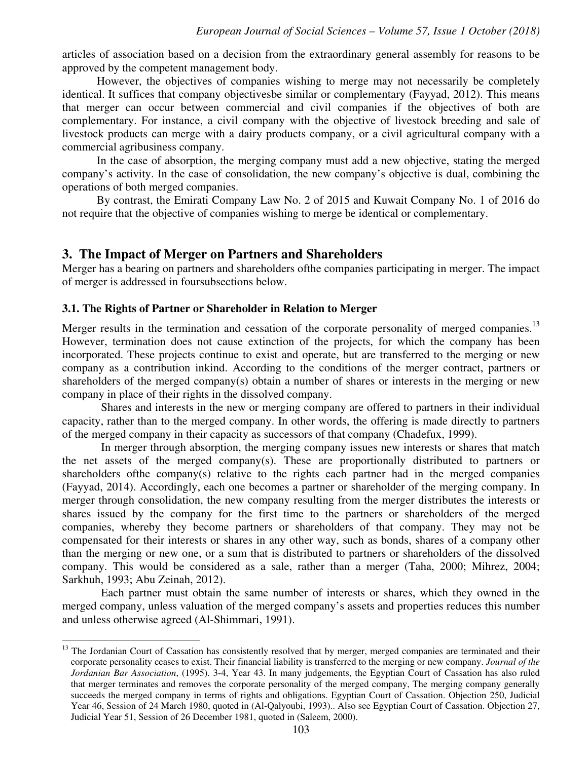articles of association based on a decision from the extraordinary general assembly for reasons to be approved by the competent management body.

However, the objectives of companies wishing to merge may not necessarily be completely identical. It suffices that company objectivesbe similar or complementary (Fayyad, 2012). This means that merger can occur between commercial and civil companies if the objectives of both are complementary. For instance, a civil company with the objective of livestock breeding and sale of livestock products can merge with a dairy products company, or a civil agricultural company with a commercial agribusiness company.

In the case of absorption, the merging company must add a new objective, stating the merged company's activity. In the case of consolidation, the new company's objective is dual, combining the operations of both merged companies.

By contrast, the Emirati Company Law No. 2 of 2015 and Kuwait Company No. 1 of 2016 do not require that the objective of companies wishing to merge be identical or complementary.

#### **3. The Impact of Merger on Partners and Shareholders**

Merger has a bearing on partners and shareholders ofthe companies participating in merger. The impact of merger is addressed in foursubsections below.

#### **3.1. The Rights of Partner or Shareholder in Relation to Merger**

-

Merger results in the termination and cessation of the corporate personality of merged companies.<sup>13</sup> However, termination does not cause extinction of the projects, for which the company has been incorporated. These projects continue to exist and operate, but are transferred to the merging or new company as a contribution inkind. According to the conditions of the merger contract, partners or shareholders of the merged company(s) obtain a number of shares or interests in the merging or new company in place of their rights in the dissolved company.

Shares and interests in the new or merging company are offered to partners in their individual capacity, rather than to the merged company. In other words, the offering is made directly to partners of the merged company in their capacity as successors of that company (Chadefux, 1999).

In merger through absorption, the merging company issues new interests or shares that match the net assets of the merged company(s). These are proportionally distributed to partners or shareholders ofthe company(s) relative to the rights each partner had in the merged companies (Fayyad, 2014). Accordingly, each one becomes a partner or shareholder of the merging company. In merger through consolidation, the new company resulting from the merger distributes the interests or shares issued by the company for the first time to the partners or shareholders of the merged companies, whereby they become partners or shareholders of that company. They may not be compensated for their interests or shares in any other way, such as bonds, shares of a company other than the merging or new one, or a sum that is distributed to partners or shareholders of the dissolved company. This would be considered as a sale, rather than a merger (Taha, 2000; Mihrez, 2004; Sarkhuh, 1993; Abu Zeinah, 2012).

Each partner must obtain the same number of interests or shares, which they owned in the merged company, unless valuation of the merged company's assets and properties reduces this number and unless otherwise agreed (Al-Shimmari, 1991).

<sup>&</sup>lt;sup>13</sup> The Jordanian Court of Cassation has consistently resolved that by merger, merged companies are terminated and their corporate personality ceases to exist. Their financial liability is transferred to the merging or new company. *Journal of the Jordanian Bar Association*, (1995). 3-4, Year 43. In many judgements, the Egyptian Court of Cassation has also ruled that merger terminates and removes the corporate personality of the merged company, The merging company generally succeeds the merged company in terms of rights and obligations. Egyptian Court of Cassation. Objection 250, Judicial Year 46, Session of 24 March 1980, quoted in (Al-Qalyoubi, 1993).. Also see Egyptian Court of Cassation. Objection 27, Judicial Year 51, Session of 26 December 1981, quoted in (Saleem, 2000).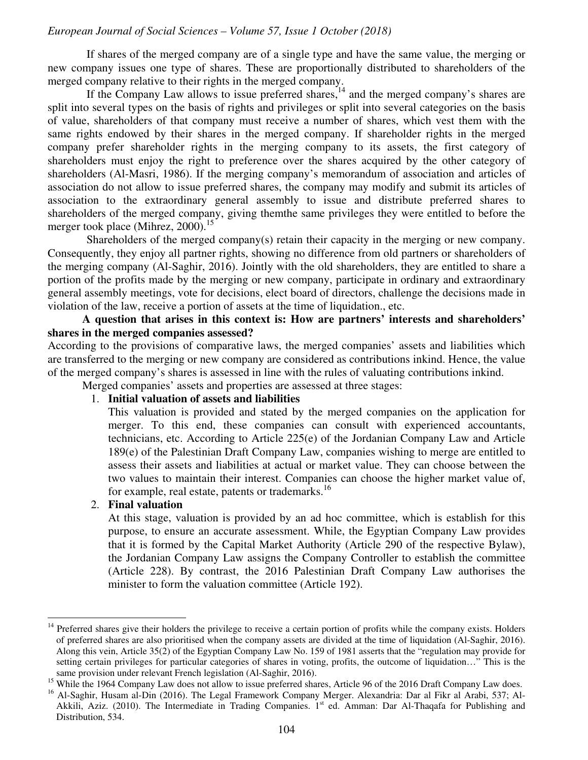If shares of the merged company are of a single type and have the same value, the merging or new company issues one type of shares. These are proportionally distributed to shareholders of the merged company relative to their rights in the merged company.

If the Company Law allows to issue preferred shares,<sup>14</sup> and the merged company's shares are split into several types on the basis of rights and privileges or split into several categories on the basis of value, shareholders of that company must receive a number of shares, which vest them with the same rights endowed by their shares in the merged company. If shareholder rights in the merged company prefer shareholder rights in the merging company to its assets, the first category of shareholders must enjoy the right to preference over the shares acquired by the other category of shareholders (Al-Masri, 1986). If the merging company's memorandum of association and articles of association do not allow to issue preferred shares, the company may modify and submit its articles of association to the extraordinary general assembly to issue and distribute preferred shares to shareholders of the merged company, giving themthe same privileges they were entitled to before the merger took place (Mihrez, 2000).<sup>15</sup>

Shareholders of the merged company(s) retain their capacity in the merging or new company. Consequently, they enjoy all partner rights, showing no difference from old partners or shareholders of the merging company (Al-Saghir, 2016). Jointly with the old shareholders, they are entitled to share a portion of the profits made by the merging or new company, participate in ordinary and extraordinary general assembly meetings, vote for decisions, elect board of directors, challenge the decisions made in violation of the law, receive a portion of assets at the time of liquidation., etc.

#### **A question that arises in this context is: How are partners' interests and shareholders' shares in the merged companies assessed?**

According to the provisions of comparative laws, the merged companies' assets and liabilities which are transferred to the merging or new company are considered as contributions inkind. Hence, the value of the merged company's shares is assessed in line with the rules of valuating contributions inkind.

Merged companies' assets and properties are assessed at three stages:

#### 1. **Initial valuation of assets and liabilities**

This valuation is provided and stated by the merged companies on the application for merger. To this end, these companies can consult with experienced accountants, technicians, etc. According to Article 225(e) of the Jordanian Company Law and Article 189(e) of the Palestinian Draft Company Law, companies wishing to merge are entitled to assess their assets and liabilities at actual or market value. They can choose between the two values to maintain their interest. Companies can choose the higher market value of, for example, real estate, patents or trademarks.<sup>16</sup>

#### 2. **Final valuation**

 $\overline{a}$ 

At this stage, valuation is provided by an ad hoc committee, which is establish for this purpose, to ensure an accurate assessment. While, the Egyptian Company Law provides that it is formed by the Capital Market Authority (Article 290 of the respective Bylaw), the Jordanian Company Law assigns the Company Controller to establish the committee (Article 228). By contrast, the 2016 Palestinian Draft Company Law authorises the minister to form the valuation committee (Article 192).

<sup>&</sup>lt;sup>14</sup> Preferred shares give their holders the privilege to receive a certain portion of profits while the company exists. Holders of preferred shares are also prioritised when the company assets are divided at the time of liquidation (Al-Saghir, 2016). Along this vein, Article 35(2) of the Egyptian Company Law No. 159 of 1981 asserts that the "regulation may provide for setting certain privileges for particular categories of shares in voting, profits, the outcome of liquidation…" This is the same provision under relevant French legislation (Al-Saghir, 2016).

<sup>&</sup>lt;sup>15</sup> While the 1964 Company Law does not allow to issue preferred shares, Article 96 of the 2016 Draft Company Law does.

<sup>&</sup>lt;sup>16</sup> Al-Saghir, Husam al-Din (2016). The Legal Framework Company Merger. Alexandria: Dar al Fikr al Arabi, 537; Al-Akkili, Aziz. (2010). The Intermediate in Trading Companies. 1<sup>st</sup> ed. Amman: Dar Al-Thaqafa for Publishing and Distribution, 534.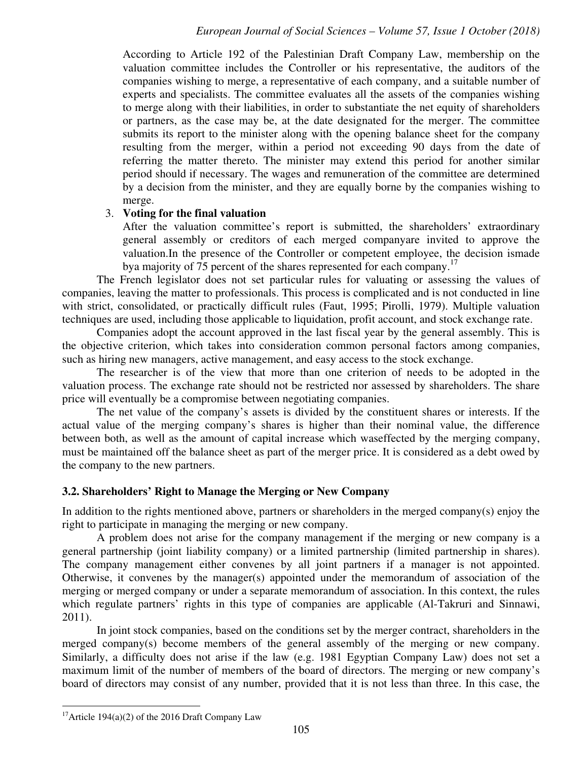According to Article 192 of the Palestinian Draft Company Law, membership on the valuation committee includes the Controller or his representative, the auditors of the companies wishing to merge, a representative of each company, and a suitable number of experts and specialists. The committee evaluates all the assets of the companies wishing to merge along with their liabilities, in order to substantiate the net equity of shareholders or partners, as the case may be, at the date designated for the merger. The committee submits its report to the minister along with the opening balance sheet for the company resulting from the merger, within a period not exceeding 90 days from the date of referring the matter thereto. The minister may extend this period for another similar period should if necessary. The wages and remuneration of the committee are determined by a decision from the minister, and they are equally borne by the companies wishing to merge.

#### 3. **Voting for the final valuation**

After the valuation committee's report is submitted, the shareholders' extraordinary general assembly or creditors of each merged companyare invited to approve the valuation.In the presence of the Controller or competent employee, the decision ismade bya majority of 75 percent of the shares represented for each company.<sup>17</sup>

The French legislator does not set particular rules for valuating or assessing the values of companies, leaving the matter to professionals. This process is complicated and is not conducted in line with strict, consolidated, or practically difficult rules (Faut, 1995; Pirolli, 1979). Multiple valuation techniques are used, including those applicable to liquidation, profit account, and stock exchange rate.

Companies adopt the account approved in the last fiscal year by the general assembly. This is the objective criterion, which takes into consideration common personal factors among companies, such as hiring new managers, active management, and easy access to the stock exchange.

The researcher is of the view that more than one criterion of needs to be adopted in the valuation process. The exchange rate should not be restricted nor assessed by shareholders. The share price will eventually be a compromise between negotiating companies.

The net value of the company's assets is divided by the constituent shares or interests. If the actual value of the merging company's shares is higher than their nominal value, the difference between both, as well as the amount of capital increase which waseffected by the merging company, must be maintained off the balance sheet as part of the merger price. It is considered as a debt owed by the company to the new partners.

#### **3.2. Shareholders' Right to Manage the Merging or New Company**

In addition to the rights mentioned above, partners or shareholders in the merged company(s) enjoy the right to participate in managing the merging or new company.

A problem does not arise for the company management if the merging or new company is a general partnership (joint liability company) or a limited partnership (limited partnership in shares). The company management either convenes by all joint partners if a manager is not appointed. Otherwise, it convenes by the manager(s) appointed under the memorandum of association of the merging or merged company or under a separate memorandum of association. In this context, the rules which regulate partners' rights in this type of companies are applicable (Al-Takruri and Sinnawi, 2011).

In joint stock companies, based on the conditions set by the merger contract, shareholders in the merged company(s) become members of the general assembly of the merging or new company. Similarly, a difficulty does not arise if the law (e.g. 1981 Egyptian Company Law) does not set a maximum limit of the number of members of the board of directors. The merging or new company's board of directors may consist of any number, provided that it is not less than three. In this case, the

-

<sup>&</sup>lt;sup>17</sup>Article 194(a)(2) of the 2016 Draft Company Law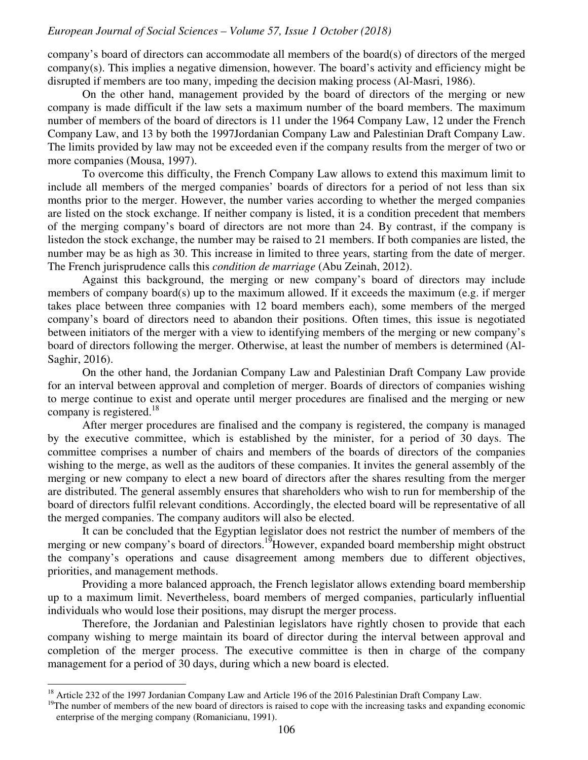company's board of directors can accommodate all members of the board(s) of directors of the merged company(s). This implies a negative dimension, however. The board's activity and efficiency might be disrupted if members are too many, impeding the decision making process (Al-Masri, 1986).

On the other hand, management provided by the board of directors of the merging or new company is made difficult if the law sets a maximum number of the board members. The maximum number of members of the board of directors is 11 under the 1964 Company Law, 12 under the French Company Law, and 13 by both the 1997Jordanian Company Law and Palestinian Draft Company Law. The limits provided by law may not be exceeded even if the company results from the merger of two or more companies (Mousa, 1997).

To overcome this difficulty, the French Company Law allows to extend this maximum limit to include all members of the merged companies' boards of directors for a period of not less than six months prior to the merger. However, the number varies according to whether the merged companies are listed on the stock exchange. If neither company is listed, it is a condition precedent that members of the merging company's board of directors are not more than 24. By contrast, if the company is listedon the stock exchange, the number may be raised to 21 members. If both companies are listed, the number may be as high as 30. This increase in limited to three years, starting from the date of merger. The French jurisprudence calls this *condition de marriage* (Abu Zeinah, 2012).

Against this background, the merging or new company's board of directors may include members of company board(s) up to the maximum allowed. If it exceeds the maximum (e.g. if merger takes place between three companies with 12 board members each), some members of the merged company's board of directors need to abandon their positions. Often times, this issue is negotiated between initiators of the merger with a view to identifying members of the merging or new company's board of directors following the merger. Otherwise, at least the number of members is determined (Al-Saghir, 2016).

On the other hand, the Jordanian Company Law and Palestinian Draft Company Law provide for an interval between approval and completion of merger. Boards of directors of companies wishing to merge continue to exist and operate until merger procedures are finalised and the merging or new company is registered.<sup>18</sup>

After merger procedures are finalised and the company is registered, the company is managed by the executive committee, which is established by the minister, for a period of 30 days. The committee comprises a number of chairs and members of the boards of directors of the companies wishing to the merge, as well as the auditors of these companies. It invites the general assembly of the merging or new company to elect a new board of directors after the shares resulting from the merger are distributed. The general assembly ensures that shareholders who wish to run for membership of the board of directors fulfil relevant conditions. Accordingly, the elected board will be representative of all the merged companies. The company auditors will also be elected.

It can be concluded that the Egyptian legislator does not restrict the number of members of the merging or new company's board of directors.<sup>19</sup>However, expanded board membership might obstruct the company's operations and cause disagreement among members due to different objectives, priorities, and management methods.

Providing a more balanced approach, the French legislator allows extending board membership up to a maximum limit. Nevertheless, board members of merged companies, particularly influential individuals who would lose their positions, may disrupt the merger process.

Therefore, the Jordanian and Palestinian legislators have rightly chosen to provide that each company wishing to merge maintain its board of director during the interval between approval and completion of the merger process. The executive committee is then in charge of the company management for a period of 30 days, during which a new board is elected.

 $\overline{a}$ 

<sup>&</sup>lt;sup>18</sup> Article 232 of the 1997 Jordanian Company Law and Article 196 of the 2016 Palestinian Draft Company Law.

 $19$ The number of members of the new board of directors is raised to cope with the increasing tasks and expanding economic enterprise of the merging company (Romanicianu, 1991).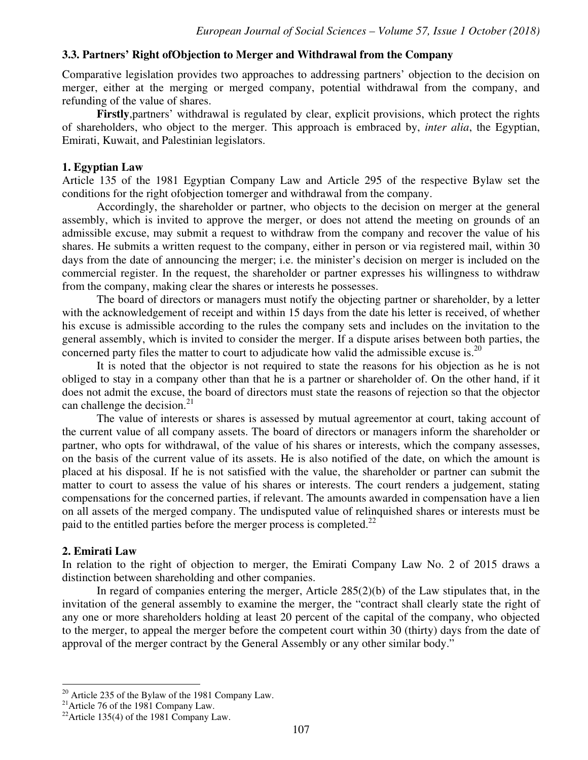## **3.3. Partners' Right ofObjection to Merger and Withdrawal from the Company**

Comparative legislation provides two approaches to addressing partners' objection to the decision on merger, either at the merging or merged company, potential withdrawal from the company, and refunding of the value of shares.

**Firstly**,partners' withdrawal is regulated by clear, explicit provisions, which protect the rights of shareholders, who object to the merger. This approach is embraced by, *inter alia*, the Egyptian, Emirati, Kuwait, and Palestinian legislators.

#### **1. Egyptian Law**

Article 135 of the 1981 Egyptian Company Law and Article 295 of the respective Bylaw set the conditions for the right ofobjection tomerger and withdrawal from the company.

Accordingly, the shareholder or partner, who objects to the decision on merger at the general assembly, which is invited to approve the merger, or does not attend the meeting on grounds of an admissible excuse, may submit a request to withdraw from the company and recover the value of his shares. He submits a written request to the company, either in person or via registered mail, within 30 days from the date of announcing the merger; i.e. the minister's decision on merger is included on the commercial register. In the request, the shareholder or partner expresses his willingness to withdraw from the company, making clear the shares or interests he possesses.

The board of directors or managers must notify the objecting partner or shareholder, by a letter with the acknowledgement of receipt and within 15 days from the date his letter is received, of whether his excuse is admissible according to the rules the company sets and includes on the invitation to the general assembly, which is invited to consider the merger. If a dispute arises between both parties, the concerned party files the matter to court to adjudicate how valid the admissible excuse is.<sup>20</sup>

It is noted that the objector is not required to state the reasons for his objection as he is not obliged to stay in a company other than that he is a partner or shareholder of. On the other hand, if it does not admit the excuse, the board of directors must state the reasons of rejection so that the objector can challenge the decision. $^{21}$ 

The value of interests or shares is assessed by mutual agreementor at court, taking account of the current value of all company assets. The board of directors or managers inform the shareholder or partner, who opts for withdrawal, of the value of his shares or interests, which the company assesses, on the basis of the current value of its assets. He is also notified of the date, on which the amount is placed at his disposal. If he is not satisfied with the value, the shareholder or partner can submit the matter to court to assess the value of his shares or interests. The court renders a judgement, stating compensations for the concerned parties, if relevant. The amounts awarded in compensation have a lien on all assets of the merged company. The undisputed value of relinquished shares or interests must be paid to the entitled parties before the merger process is completed.<sup>22</sup>

#### **2. Emirati Law**

-

In relation to the right of objection to merger, the Emirati Company Law No. 2 of 2015 draws a distinction between shareholding and other companies.

In regard of companies entering the merger, Article 285(2)(b) of the Law stipulates that, in the invitation of the general assembly to examine the merger, the "contract shall clearly state the right of any one or more shareholders holding at least 20 percent of the capital of the company, who objected to the merger, to appeal the merger before the competent court within 30 (thirty) days from the date of approval of the merger contract by the General Assembly or any other similar body."

 $20$  Article 235 of the Bylaw of the 1981 Company Law.

<sup>&</sup>lt;sup>21</sup> Article 76 of the 1981 Company Law.

 $22$ Article 135(4) of the 1981 Company Law.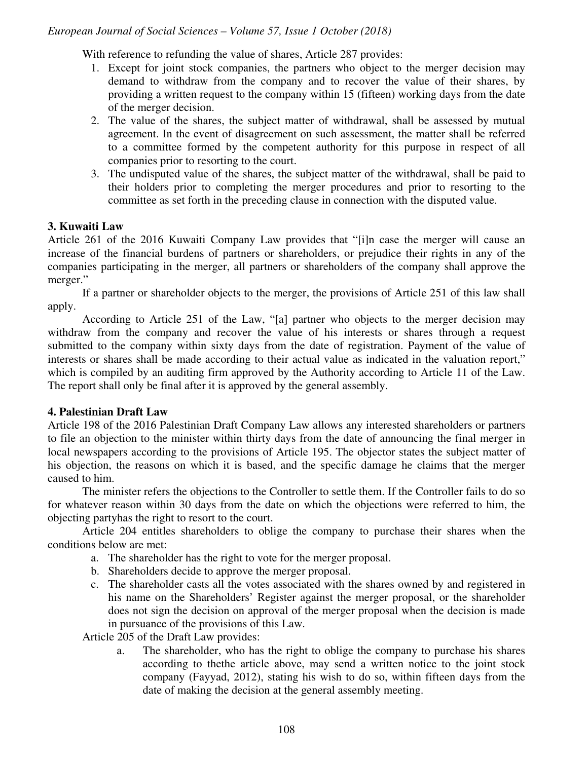With reference to refunding the value of shares, Article 287 provides:

- 1. Except for joint stock companies, the partners who object to the merger decision may demand to withdraw from the company and to recover the value of their shares, by providing a written request to the company within 15 (fifteen) working days from the date of the merger decision.
- 2. The value of the shares, the subject matter of withdrawal, shall be assessed by mutual agreement. In the event of disagreement on such assessment, the matter shall be referred to a committee formed by the competent authority for this purpose in respect of all companies prior to resorting to the court.
- 3. The undisputed value of the shares, the subject matter of the withdrawal, shall be paid to their holders prior to completing the merger procedures and prior to resorting to the committee as set forth in the preceding clause in connection with the disputed value.

# **3. Kuwaiti Law**

Article 261 of the 2016 Kuwaiti Company Law provides that "[i]n case the merger will cause an increase of the financial burdens of partners or shareholders, or prejudice their rights in any of the companies participating in the merger, all partners or shareholders of the company shall approve the merger."

If a partner or shareholder objects to the merger, the provisions of Article 251 of this law shall apply.

According to Article 251 of the Law, "[a] partner who objects to the merger decision may withdraw from the company and recover the value of his interests or shares through a request submitted to the company within sixty days from the date of registration. Payment of the value of interests or shares shall be made according to their actual value as indicated in the valuation report," which is compiled by an auditing firm approved by the Authority according to Article 11 of the Law. The report shall only be final after it is approved by the general assembly.

# **4. Palestinian Draft Law**

Article 198 of the 2016 Palestinian Draft Company Law allows any interested shareholders or partners to file an objection to the minister within thirty days from the date of announcing the final merger in local newspapers according to the provisions of Article 195. The objector states the subject matter of his objection, the reasons on which it is based, and the specific damage he claims that the merger caused to him.

The minister refers the objections to the Controller to settle them. If the Controller fails to do so for whatever reason within 30 days from the date on which the objections were referred to him, the objecting partyhas the right to resort to the court.

Article 204 entitles shareholders to oblige the company to purchase their shares when the conditions below are met:

- a. The shareholder has the right to vote for the merger proposal.
- b. Shareholders decide to approve the merger proposal.
- c. The shareholder casts all the votes associated with the shares owned by and registered in his name on the Shareholders' Register against the merger proposal, or the shareholder does not sign the decision on approval of the merger proposal when the decision is made in pursuance of the provisions of this Law.

Article 205 of the Draft Law provides:

a. The shareholder, who has the right to oblige the company to purchase his shares according to thethe article above, may send a written notice to the joint stock company (Fayyad, 2012), stating his wish to do so, within fifteen days from the date of making the decision at the general assembly meeting.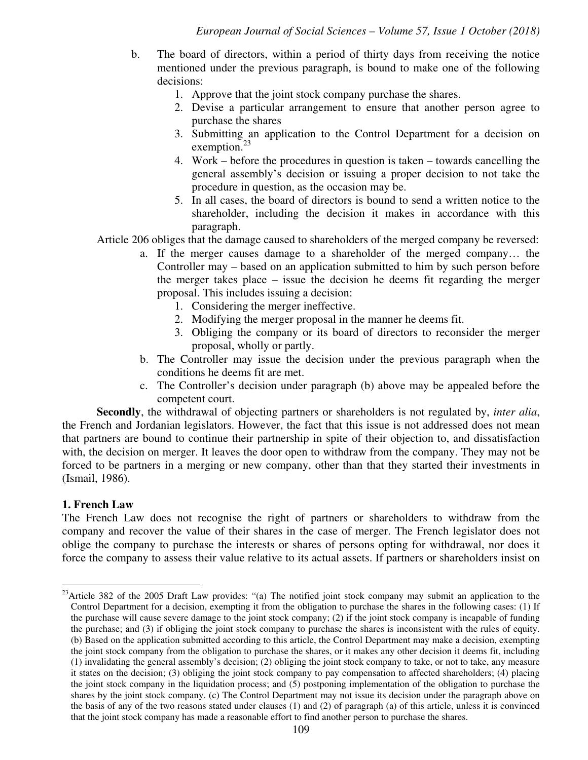- b. The board of directors, within a period of thirty days from receiving the notice mentioned under the previous paragraph, is bound to make one of the following decisions:
	- 1. Approve that the joint stock company purchase the shares.
	- 2. Devise a particular arrangement to ensure that another person agree to purchase the shares
	- 3. Submitting an application to the Control Department for a decision on exemption. $^{23}$
	- 4. Work before the procedures in question is taken towards cancelling the general assembly's decision or issuing a proper decision to not take the procedure in question, as the occasion may be.
	- 5. In all cases, the board of directors is bound to send a written notice to the shareholder, including the decision it makes in accordance with this paragraph.

Article 206 obliges that the damage caused to shareholders of the merged company be reversed:

- a. If the merger causes damage to a shareholder of the merged company… the Controller may – based on an application submitted to him by such person before the merger takes place – issue the decision he deems fit regarding the merger proposal. This includes issuing a decision:
	- 1. Considering the merger ineffective.
	- 2. Modifying the merger proposal in the manner he deems fit.
	- 3. Obliging the company or its board of directors to reconsider the merger proposal, wholly or partly.
- b. The Controller may issue the decision under the previous paragraph when the conditions he deems fit are met.
- c. The Controller's decision under paragraph (b) above may be appealed before the competent court.

**Secondly**, the withdrawal of objecting partners or shareholders is not regulated by, *inter alia*, the French and Jordanian legislators. However, the fact that this issue is not addressed does not mean that partners are bound to continue their partnership in spite of their objection to, and dissatisfaction with, the decision on merger. It leaves the door open to withdraw from the company. They may not be forced to be partners in a merging or new company, other than that they started their investments in (Ismail, 1986).

#### **1. French Law**

-

The French Law does not recognise the right of partners or shareholders to withdraw from the company and recover the value of their shares in the case of merger. The French legislator does not oblige the company to purchase the interests or shares of persons opting for withdrawal, nor does it force the company to assess their value relative to its actual assets. If partners or shareholders insist on

 $23$ Article 382 of the 2005 Draft Law provides: "(a) The notified joint stock company may submit an application to the Control Department for a decision, exempting it from the obligation to purchase the shares in the following cases: (1) If the purchase will cause severe damage to the joint stock company; (2) if the joint stock company is incapable of funding the purchase; and (3) if obliging the joint stock company to purchase the shares is inconsistent with the rules of equity. (b) Based on the application submitted according to this article, the Control Department may make a decision, exempting the joint stock company from the obligation to purchase the shares, or it makes any other decision it deems fit, including (1) invalidating the general assembly's decision; (2) obliging the joint stock company to take, or not to take, any measure it states on the decision; (3) obliging the joint stock company to pay compensation to affected shareholders; (4) placing the joint stock company in the liquidation process; and (5) postponing implementation of the obligation to purchase the shares by the joint stock company. (c) The Control Department may not issue its decision under the paragraph above on the basis of any of the two reasons stated under clauses (1) and (2) of paragraph (a) of this article, unless it is convinced that the joint stock company has made a reasonable effort to find another person to purchase the shares.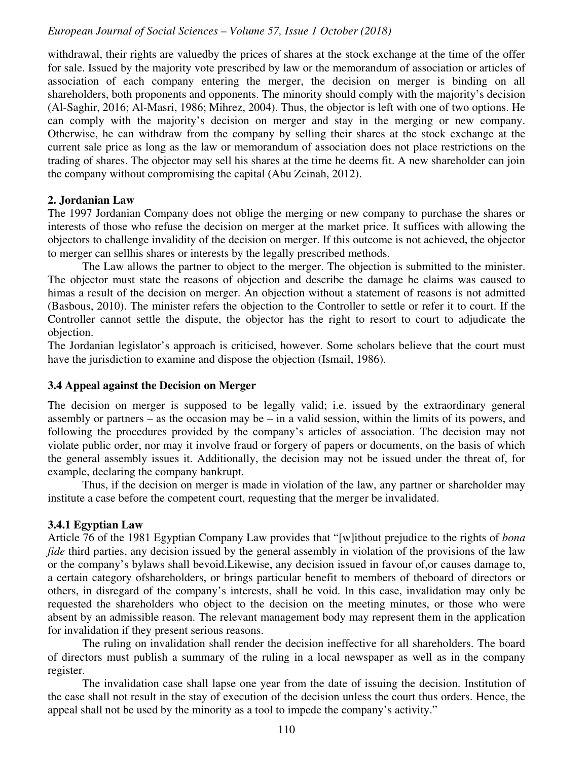withdrawal, their rights are valuedby the prices of shares at the stock exchange at the time of the offer for sale. Issued by the majority vote prescribed by law or the memorandum of association or articles of association of each company entering the merger, the decision on merger is binding on all shareholders, both proponents and opponents. The minority should comply with the majority's decision (Al-Saghir, 2016; Al-Masri, 1986; Mihrez, 2004). Thus, the objector is left with one of two options. He can comply with the majority's decision on merger and stay in the merging or new company. Otherwise, he can withdraw from the company by selling their shares at the stock exchange at the current sale price as long as the law or memorandum of association does not place restrictions on the trading of shares. The objector may sell his shares at the time he deems fit. A new shareholder can join the company without compromising the capital (Abu Zeinah, 2012).

#### **2. Jordanian Law**

The 1997 Jordanian Company does not oblige the merging or new company to purchase the shares or interests of those who refuse the decision on merger at the market price. It suffices with allowing the objectors to challenge invalidity of the decision on merger. If this outcome is not achieved, the objector to merger can sellhis shares or interests by the legally prescribed methods.

The Law allows the partner to object to the merger. The objection is submitted to the minister. The objector must state the reasons of objection and describe the damage he claims was caused to himas a result of the decision on merger. An objection without a statement of reasons is not admitted (Basbous, 2010). The minister refers the objection to the Controller to settle or refer it to court. If the Controller cannot settle the dispute, the objector has the right to resort to court to adjudicate the objection.

The Jordanian legislator's approach is criticised, however. Some scholars believe that the court must have the jurisdiction to examine and dispose the objection (Ismail, 1986).

#### **3.4 Appeal against the Decision on Merger**

The decision on merger is supposed to be legally valid; i.e. issued by the extraordinary general assembly or partners – as the occasion may be – in a valid session, within the limits of its powers, and following the procedures provided by the company's articles of association. The decision may not violate public order, nor may it involve fraud or forgery of papers or documents, on the basis of which the general assembly issues it. Additionally, the decision may not be issued under the threat of, for example, declaring the company bankrupt.

Thus, if the decision on merger is made in violation of the law, any partner or shareholder may institute a case before the competent court, requesting that the merger be invalidated.

# **3.4.1 Egyptian Law**

Article 76 of the 1981 Egyptian Company Law provides that "[w]ithout prejudice to the rights of *bona fide* third parties, any decision issued by the general assembly in violation of the provisions of the law or the company's bylaws shall bevoid.Likewise, any decision issued in favour of,or causes damage to, a certain category ofshareholders, or brings particular benefit to members of theboard of directors or others, in disregard of the company's interests, shall be void. In this case, invalidation may only be requested the shareholders who object to the decision on the meeting minutes, or those who were absent by an admissible reason. The relevant management body may represent them in the application for invalidation if they present serious reasons.

The ruling on invalidation shall render the decision ineffective for all shareholders. The board of directors must publish a summary of the ruling in a local newspaper as well as in the company register.

The invalidation case shall lapse one year from the date of issuing the decision. Institution of the case shall not result in the stay of execution of the decision unless the court thus orders. Hence, the appeal shall not be used by the minority as a tool to impede the company's activity."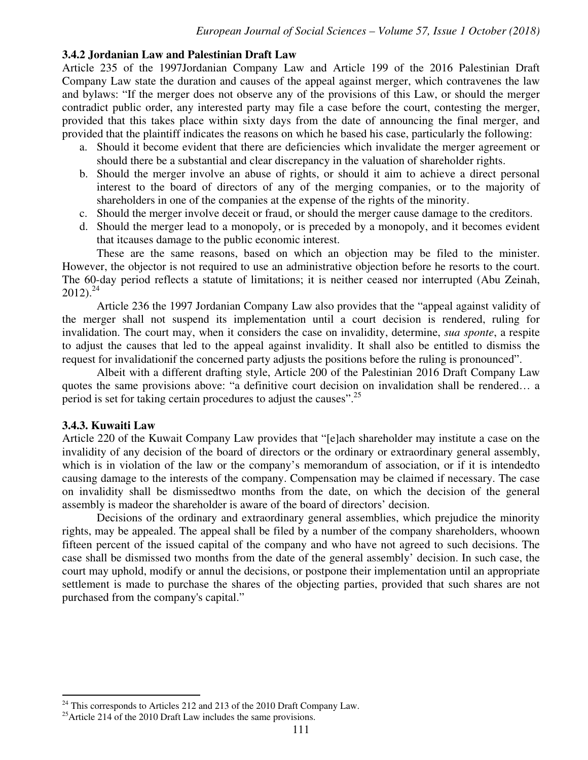#### **3.4.2 Jordanian Law and Palestinian Draft Law**

Article 235 of the 1997Jordanian Company Law and Article 199 of the 2016 Palestinian Draft Company Law state the duration and causes of the appeal against merger, which contravenes the law and bylaws: "If the merger does not observe any of the provisions of this Law, or should the merger contradict public order, any interested party may file a case before the court, contesting the merger, provided that this takes place within sixty days from the date of announcing the final merger, and provided that the plaintiff indicates the reasons on which he based his case, particularly the following:

- a. Should it become evident that there are deficiencies which invalidate the merger agreement or should there be a substantial and clear discrepancy in the valuation of shareholder rights.
- b. Should the merger involve an abuse of rights, or should it aim to achieve a direct personal interest to the board of directors of any of the merging companies, or to the majority of shareholders in one of the companies at the expense of the rights of the minority.
- c. Should the merger involve deceit or fraud, or should the merger cause damage to the creditors.
- d. Should the merger lead to a monopoly, or is preceded by a monopoly, and it becomes evident that itcauses damage to the public economic interest.

These are the same reasons, based on which an objection may be filed to the minister. However, the objector is not required to use an administrative objection before he resorts to the court. The 60-day period reflects a statute of limitations; it is neither ceased nor interrupted (Abu Zeinah,  $2012$ )<sup>24</sup>

Article 236 the 1997 Jordanian Company Law also provides that the "appeal against validity of the merger shall not suspend its implementation until a court decision is rendered, ruling for invalidation. The court may, when it considers the case on invalidity, determine, *sua sponte*, a respite to adjust the causes that led to the appeal against invalidity. It shall also be entitled to dismiss the request for invalidationif the concerned party adjusts the positions before the ruling is pronounced".

Albeit with a different drafting style, Article 200 of the Palestinian 2016 Draft Company Law quotes the same provisions above: "a definitive court decision on invalidation shall be rendered… a period is set for taking certain procedures to adjust the causes".<sup>25</sup>

#### **3.4.3. Kuwaiti Law**

<u>.</u>

Article 220 of the Kuwait Company Law provides that "[e]ach shareholder may institute a case on the invalidity of any decision of the board of directors or the ordinary or extraordinary general assembly, which is in violation of the law or the company's memorandum of association, or if it is intendedto causing damage to the interests of the company. Compensation may be claimed if necessary. The case on invalidity shall be dismissedtwo months from the date, on which the decision of the general assembly is madeor the shareholder is aware of the board of directors' decision.

Decisions of the ordinary and extraordinary general assemblies, which prejudice the minority rights, may be appealed. The appeal shall be filed by a number of the company shareholders, whoown fifteen percent of the issued capital of the company and who have not agreed to such decisions. The case shall be dismissed two months from the date of the general assembly' decision. In such case, the court may uphold, modify or annul the decisions, or postpone their implementation until an appropriate settlement is made to purchase the shares of the objecting parties, provided that such shares are not purchased from the company's capital."

 $24$  This corresponds to Articles 212 and 213 of the 2010 Draft Company Law.

<sup>&</sup>lt;sup>25</sup>Article 214 of the 2010 Draft Law includes the same provisions.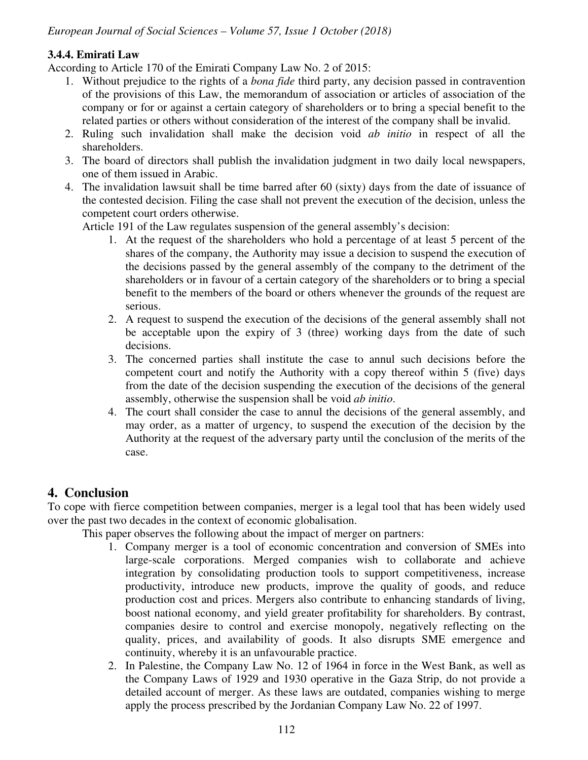# **3.4.4. Emirati Law**

According to Article 170 of the Emirati Company Law No. 2 of 2015:

- 1. Without prejudice to the rights of a *bona fide* third party, any decision passed in contravention of the provisions of this Law, the memorandum of association or articles of association of the company or for or against a certain category of shareholders or to bring a special benefit to the related parties or others without consideration of the interest of the company shall be invalid.
- 2. Ruling such invalidation shall make the decision void *ab initio* in respect of all the shareholders.
- 3. The board of directors shall publish the invalidation judgment in two daily local newspapers, one of them issued in Arabic.
- 4. The invalidation lawsuit shall be time barred after 60 (sixty) days from the date of issuance of the contested decision. Filing the case shall not prevent the execution of the decision, unless the competent court orders otherwise.

Article 191 of the Law regulates suspension of the general assembly's decision:

- 1. At the request of the shareholders who hold a percentage of at least 5 percent of the shares of the company, the Authority may issue a decision to suspend the execution of the decisions passed by the general assembly of the company to the detriment of the shareholders or in favour of a certain category of the shareholders or to bring a special benefit to the members of the board or others whenever the grounds of the request are serious.
- 2. A request to suspend the execution of the decisions of the general assembly shall not be acceptable upon the expiry of 3 (three) working days from the date of such decisions.
- 3. The concerned parties shall institute the case to annul such decisions before the competent court and notify the Authority with a copy thereof within 5 (five) days from the date of the decision suspending the execution of the decisions of the general assembly, otherwise the suspension shall be void *ab initio*.
- 4. The court shall consider the case to annul the decisions of the general assembly, and may order, as a matter of urgency, to suspend the execution of the decision by the Authority at the request of the adversary party until the conclusion of the merits of the case.

# **4. Conclusion**

To cope with fierce competition between companies, merger is a legal tool that has been widely used over the past two decades in the context of economic globalisation.

This paper observes the following about the impact of merger on partners:

- 1. Company merger is a tool of economic concentration and conversion of SMEs into large-scale corporations. Merged companies wish to collaborate and achieve integration by consolidating production tools to support competitiveness, increase productivity, introduce new products, improve the quality of goods, and reduce production cost and prices. Mergers also contribute to enhancing standards of living, boost national economy, and yield greater profitability for shareholders. By contrast, companies desire to control and exercise monopoly, negatively reflecting on the quality, prices, and availability of goods. It also disrupts SME emergence and continuity, whereby it is an unfavourable practice.
- 2. In Palestine, the Company Law No. 12 of 1964 in force in the West Bank, as well as the Company Laws of 1929 and 1930 operative in the Gaza Strip, do not provide a detailed account of merger. As these laws are outdated, companies wishing to merge apply the process prescribed by the Jordanian Company Law No. 22 of 1997.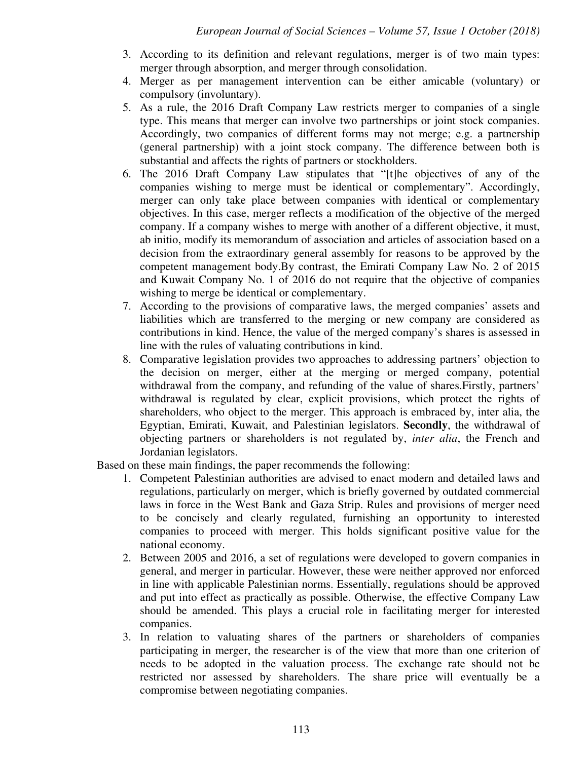- 3. According to its definition and relevant regulations, merger is of two main types: merger through absorption, and merger through consolidation.
- 4. Merger as per management intervention can be either amicable (voluntary) or compulsory (involuntary).
- 5. As a rule, the 2016 Draft Company Law restricts merger to companies of a single type. This means that merger can involve two partnerships or joint stock companies. Accordingly, two companies of different forms may not merge; e.g. a partnership (general partnership) with a joint stock company. The difference between both is substantial and affects the rights of partners or stockholders.
- 6. The 2016 Draft Company Law stipulates that "[t]he objectives of any of the companies wishing to merge must be identical or complementary". Accordingly, merger can only take place between companies with identical or complementary objectives. In this case, merger reflects a modification of the objective of the merged company. If a company wishes to merge with another of a different objective, it must, ab initio, modify its memorandum of association and articles of association based on a decision from the extraordinary general assembly for reasons to be approved by the competent management body.By contrast, the Emirati Company Law No. 2 of 2015 and Kuwait Company No. 1 of 2016 do not require that the objective of companies wishing to merge be identical or complementary.
- 7. According to the provisions of comparative laws, the merged companies' assets and liabilities which are transferred to the merging or new company are considered as contributions in kind. Hence, the value of the merged company's shares is assessed in line with the rules of valuating contributions in kind.
- 8. Comparative legislation provides two approaches to addressing partners' objection to the decision on merger, either at the merging or merged company, potential withdrawal from the company, and refunding of the value of shares.Firstly, partners' withdrawal is regulated by clear, explicit provisions, which protect the rights of shareholders, who object to the merger. This approach is embraced by, inter alia, the Egyptian, Emirati, Kuwait, and Palestinian legislators. **Secondly**, the withdrawal of objecting partners or shareholders is not regulated by, *inter alia*, the French and Jordanian legislators.

Based on these main findings, the paper recommends the following:

- 1. Competent Palestinian authorities are advised to enact modern and detailed laws and regulations, particularly on merger, which is briefly governed by outdated commercial laws in force in the West Bank and Gaza Strip. Rules and provisions of merger need to be concisely and clearly regulated, furnishing an opportunity to interested companies to proceed with merger. This holds significant positive value for the national economy.
- 2. Between 2005 and 2016, a set of regulations were developed to govern companies in general, and merger in particular. However, these were neither approved nor enforced in line with applicable Palestinian norms. Essentially, regulations should be approved and put into effect as practically as possible. Otherwise, the effective Company Law should be amended. This plays a crucial role in facilitating merger for interested companies.
- 3. In relation to valuating shares of the partners or shareholders of companies participating in merger, the researcher is of the view that more than one criterion of needs to be adopted in the valuation process. The exchange rate should not be restricted nor assessed by shareholders. The share price will eventually be a compromise between negotiating companies.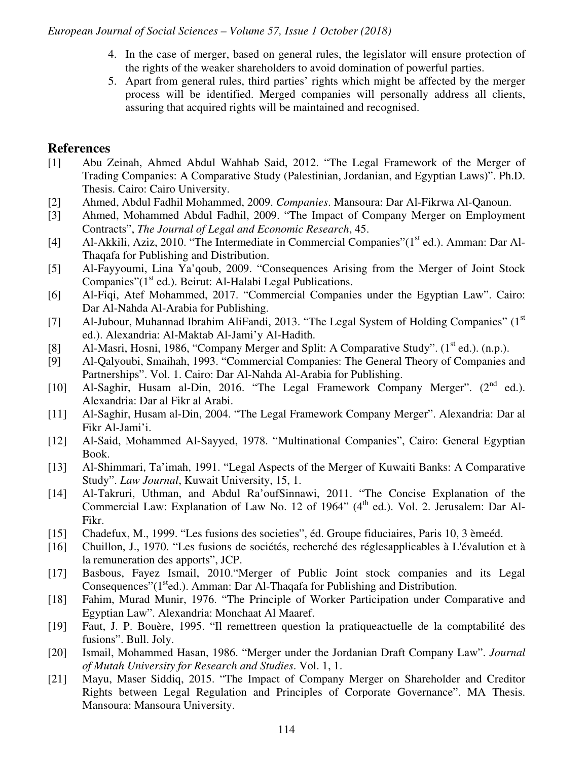- 4. In the case of merger, based on general rules, the legislator will ensure protection of the rights of the weaker shareholders to avoid domination of powerful parties.
- 5. Apart from general rules, third parties' rights which might be affected by the merger process will be identified. Merged companies will personally address all clients, assuring that acquired rights will be maintained and recognised.

# **References**

- [1] Abu Zeinah, Ahmed Abdul Wahhab Said, 2012. "The Legal Framework of the Merger of Trading Companies: A Comparative Study (Palestinian, Jordanian, and Egyptian Laws)". Ph.D. Thesis. Cairo: Cairo University.
- [2] Ahmed, Abdul Fadhil Mohammed, 2009. *Companies*. Mansoura: Dar Al-Fikrwa Al-Qanoun.
- [3] Ahmed, Mohammed Abdul Fadhil, 2009. "The Impact of Company Merger on Employment Contracts", *The Journal of Legal and Economic Research*, 45.
- [4] Al-Akkili, Aziz, 2010. "The Intermediate in Commercial Companies"(1<sup>st</sup> ed.). Amman: Dar Al-Thaqafa for Publishing and Distribution.
- [5] Al-Fayyoumi, Lina Ya'qoub, 2009. "Consequences Arising from the Merger of Joint Stock Companies" $(1<sup>st</sup>$  ed.). Beirut: Al-Halabi Legal Publications.
- [6] Al-Fiqi, Atef Mohammed, 2017. "Commercial Companies under the Egyptian Law". Cairo: Dar Al-Nahda Al-Arabia for Publishing.
- [7] Al-Jubour, Muhannad Ibrahim AliFandi, 2013. "The Legal System of Holding Companies" ( $1<sup>st</sup>$ ed.). Alexandria: Al-Maktab Al-Jami'y Al-Hadith.
- [8] Al-Masri, Hosni, 1986, "Company Merger and Split: A Comparative Study". (1<sup>st</sup> ed.). (n.p.).
- [9] Al-Qalyoubi, Smaihah, 1993. "Commercial Companies: The General Theory of Companies and Partnerships". Vol. 1. Cairo: Dar Al-Nahda Al-Arabia for Publishing.
- [10] Al-Saghir, Husam al-Din, 2016. "The Legal Framework Company Merger". (2<sup>nd</sup> ed.). Alexandria: Dar al Fikr al Arabi.
- [11] Al-Saghir, Husam al-Din, 2004. "The Legal Framework Company Merger". Alexandria: Dar al Fikr Al-Jami'i.
- [12] Al-Said, Mohammed Al-Sayyed, 1978. "Multinational Companies", Cairo: General Egyptian Book.
- [13] Al-Shimmari, Ta'imah, 1991. "Legal Aspects of the Merger of Kuwaiti Banks: A Comparative Study". *Law Journal*, Kuwait University, 15, 1.
- [14] Al-Takruri, Uthman, and Abdul Ra'oufSinnawi, 2011. "The Concise Explanation of the Commercial Law: Explanation of Law No. 12 of 1964" (4<sup>th</sup> ed.). Vol. 2. Jerusalem: Dar Al-Fikr.
- [15] Chadefux, M., 1999. "Les fusions des societies", éd. Groupe fiduciaires, Paris 10, 3 èmeéd.
- [16] Chuillon, J., 1970. "Les fusions de sociétés, recherché des réglesapplicables à L'évalution et à la remuneration des apports", JCP.
- [17] Basbous, Fayez Ismail, 2010."Merger of Public Joint stock companies and its Legal Consequences"(1<sup>st</sup>ed.). Amman: Dar Al-Thaqafa for Publishing and Distribution.
- [18] Fahim, Murad Munir, 1976. "The Principle of Worker Participation under Comparative and Egyptian Law". Alexandria: Monchaat Al Maaref.
- [19] Faut, J. P. Bouère, 1995. "Il remettreen question la pratiqueactuelle de la comptabilité des fusions". Bull. Joly.
- [20] Ismail, Mohammed Hasan, 1986. "Merger under the Jordanian Draft Company Law". *Journal of Mutah University for Research and Studies*. Vol. 1, 1.
- [21] Mayu, Maser Siddiq, 2015. "The Impact of Company Merger on Shareholder and Creditor Rights between Legal Regulation and Principles of Corporate Governance". MA Thesis. Mansoura: Mansoura University.